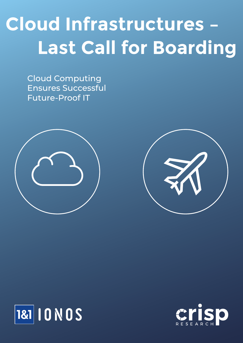# **Cloud Infrastructures – Last Call for Boarding**

Cloud Computing Ensures Successful Future-Proof IT







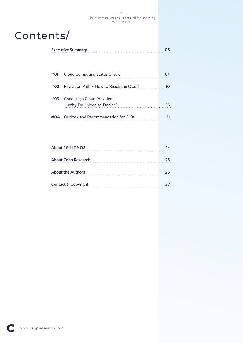### Contents/

| <b>Executive Summary</b> |                                                         |    |
|--------------------------|---------------------------------------------------------|----|
|                          |                                                         |    |
|                          |                                                         |    |
| #01                      | <b>Cloud Computing Status Check</b>                     | 04 |
| #02                      | Migration Path - How to Reach the Cloud                 | 10 |
| #03                      | Choosing a Cloud Provider -<br>Why Do I Need to Decide? | 16 |
| #04                      | Outlook and Recommendation for CIOs                     | 21 |
|                          |                                                         |    |
|                          | About 181 IONOS                                         | つム |

| About 1&1 IONOS                |    |
|--------------------------------|----|
| <b>About Crisp Research</b>    | 25 |
| <b>About the Authors</b>       |    |
| <b>Contact &amp; Copyright</b> |    |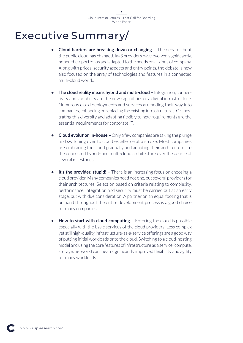### Executive Summary/

- **Cloud barriers are breaking down or changing -** The debate about the public cloud has changed. IaaS providers have evolved significantly, honed their portfolios and adapted to the needs of all kinds of company. Along with prices, security aspects and entry points, the debate is now also focused on the array of technologies and features in a connected multi-cloud world..
- **• The cloud reality means hybrid and multi-cloud –** Integration, connectivity and variability are the new capabilities of a digital infrastructure. Numerous cloud deployments and services are finding their way into companies, enhancing or replacing the existing infrastructures. Orchestrating this diversity and adapting flexibly to new requirements are the essential requirements for corporate IT.
- **• Cloud evolution in-house –** Only a few companies are taking the plunge and switching over to cloud excellence at a stroke. Most companies are embracing the cloud gradually and adapting their architectures to the connected hybrid- and multi-cloud architecture over the course of several milestones.
- **It's the provider, stupid!** There is an increasing focus on choosing a cloud provider. Many companies need not one, but several providers for their architectures. Selection based on criteria relating to complexity, performance, integration and security must be carried out at an early stage, but with due consideration. A partner on an equal footing that is on hand throughout the entire development process is a good choice for many companies.
- **• How to start with cloud computing –** Entering the cloud is possible especially with the basic services of the cloud providers. Less complex yet still high-quality infrastructure-as-a-service offerings are a good way of putting initial workloads onto the cloud. Switching to a cloud-hosting model and using the core features of infrastructure as a service (compute, storage, network) can mean significantly improved flexibility and agility for many workloads.

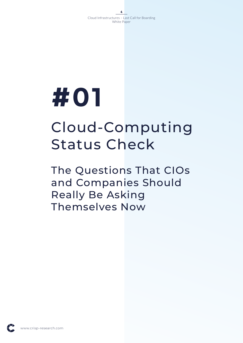# Cloud-Computing Status Check

The Questions That CIOs and Companies Should Really Be Asking Themselves Now

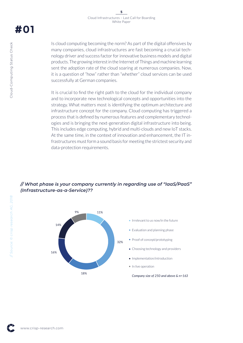Is cloud computing becoming the norm? As part of the digital offensives by many companies, cloud infrastructures are fast becoming a crucial technology driver and success factor for innovative business models and digital products. The growing interest in the Internet of Things and machine learning sent the adoption rate of the cloud soaring at numerous companies. Now, it is a question of "how" rather than "whether" cloud services can be used successfully at German companies.

It is crucial to find the right path to the cloud for the individual company and to incorporate new technological concepts and opportunities into the strategy. What matters most is identifying the optimum architecture and infrastructure concept for the company. Cloud computing has triggered a process that is defined by numerous features and complementary technologies and is bringing the next-generation digital infrastructure into being. This includes edge computing, hybrid and multi-clouds and new IoT stacks. At the same time, in the context of innovation and enhancement, the IT infrastructures must form a sound basis for meeting the strictest security and data-protection requirements.

### *// What phase is your company currently in regarding use of "IaaS/PaaS" (Infrastructure-as-a-Service)??*



**#01**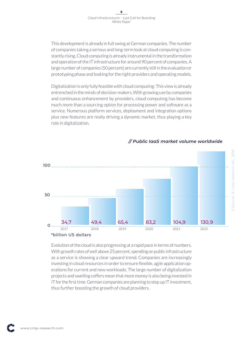This development is already in full swing at German companies. The number of companies taking a serious and long-term look at cloud computing is constantly rising. Cloud computing is already instrumental in the transformation and operation of the IT infrastructure for around 90 percent of companies. A large number of companies (50 percent) are currently still in the evaluation or prototyping phase and looking for the right providers and operating models.

Digitalization is only fully feasible with cloud computing: This view is already entrenched in the minds of decision-makers. With growing use by companies and continuous enhancement by providers, cloud computing has become much more than a sourcing option for processing power and software as a service. Numerous platform services, deployment and integration options plus new features are really driving a dynamic market, thus playing a key role in digitalization.



### *// Public IaaS market volume worldwide*

Evolution of the cloud is also progressing at a rapid pace in terms of numbers. With growth rates of well above 25 percent, spending on public infrastructure as a service is showing a clear upward trend. Companies are increasingly investing in cloud resources in order to ensure flexible, agile application operations for current and new workloads. The large number of digitalization projects and swelling coffers mean that more money is also being invested in IT for the first time. German companies are planning to step up IT investment, thus further boosting the growth of cloud providers.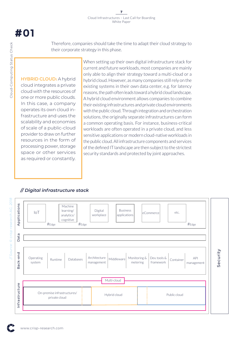Therefore, companies should take the time to adapt their cloud strategy to their corporate strategy in this phase.

#### **HYBRID CLOUD:** A hybrid

cloud integrates a private cloud with the resources of one or more public clouds. In this case, a company operates its own cloud infrastructure and uses the scalability and economies of scale of a public-cloud provider to draw on further resources in the form of processing power, storage space or other services as required or constantly.

When setting up their own digital infrastructure stack for current and future workloads, most companies are mainly only able to align their strategy toward a multi-cloud or a hybrid cloud. However, as many companies still rely on the existing systems in their own data center, e.g. for latency reasons, the path often leads toward a hybrid cloud landscape. A hybrid cloud environment allows companies to combine their existing infrastructures and private cloud environments with the public cloud. Through integration and orchestration solutions, the originally separate infrastructures can form a common operating basis. For instance, business-critical workloads are often operated in a private cloud, and less sensitive applications or modern cloud-native workloads in the public cloud. All infrastructure components and services of the defined IT landscape are then subject to the strictest security standards and protected by joint approaches.

### *// Digital infrastructure stack*



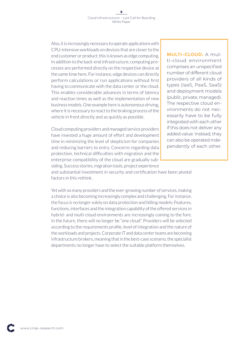Also, it is increasingly necessary to operate applications with CPU-intensive workloads on devices that are closer to the end customer or product; this is known as edge computing. In addition to the back-end infrastructure, computing processes are performed directly on the respective device at the same time here. For instance, edge devices can directly perform calculations or run applications without first having to communicate with the data center or the cloud. This enables considerable advances in terms of latency and reaction times as well as the implementation of new business models. One example here is autonomous driving, where it is necessary to react to the braking process of the vehicle in front directly and as quickly as possible.

Cloud computing providers and managed service providers have invested a huge amount of effort and development time in minimizing the level of skepticism for companies and reducing barriers to entry. Concerns regarding data protection, technical difficulties with migration and the enterprise compatibility of the cloud are gradually subsiding. Success stories, migration tools, project experience

### **MULTI-CLOUD:** A multi-cloud environment comprises an unspecified number of different cloud providers of all kinds of types (IaaS, PaaS, SaaS) and deployment models (public, private, managed). The respective cloud environments do not necessarily have to be fully integrated with each other if this does not deliver any added value. Instead, they can also be operated independently of each other.

and substantial investment in security and certification have been pivotal factors in this rethink.

Yet with so many providers and the ever-growing number of services, making a choice is also becoming increasingly complex and challenging. For instance, the focus is no longer solely on data protection and billing models: Features, functions, interfaces and the integration capability of the offered services in hybrid- and multi-cloud environments are increasingly coming to the fore. In the future, there will no longer be "one cloud". Providers will be selected according to the requirements profile, level of integration and the nature of the workloads and projects. Corporate IT and data center teams are becoming infrastructure brokers, meaning that in the best-case scenario, the specialist departments no longer have to select the suitable platform themselves.

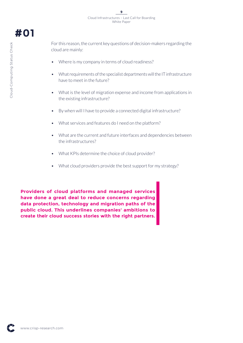For this reason, the current key questions of decision-makers regarding the cloud are mainly:

- Where is my company in terms of cloud readiness?
- What requirements of the specialist departments will the IT infrastructure have to meet in the future?
- What is the level of migration expense and income from applications in the existing infrastructure?
- By when will I have to provide a connected digital infrastructure?
- What services and features do I need on the platform?
- What are the current and future interfaces and dependencies between the infrastructures?
- What KPIs determine the choice of cloud provider?
- What cloud providers provide the best support for my strategy?

**Providers of cloud platforms and managed services have done a great deal to reduce concerns regarding data protection, technology and migration paths of the public cloud. This underlines companies' ambitions to create their cloud success stories with the right partners.**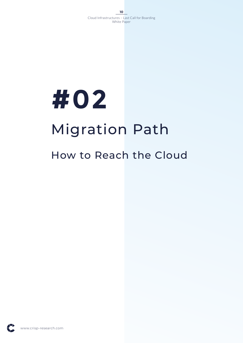# **#02** Migration Path

### How to Reach the Cloud

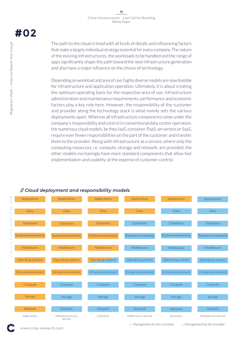The path to the cloud is lined with all kinds of details and influencing factors that make a largely individual strategy essential for every company. The nature of the existing infrastructures, the workloads to be handled and the range of apps significantly shape the path toward the new infrastructure generation and also have a major influence on the choice of technology.

Depending on workload and area of use, highly diverse models are now feasible for infrastructure and application operation. Ultimately, it is about creating the optimum operating basis for the respective area of use. Infrastructure administration and maintenance requirements, performance and economic factors play a key role here. However, the responsibility of the customer and provider along the technology stack is what mainly sets the various deployments apart. Whereas all infrastructure components come under the company's responsibility and control in conventional data-center operation, the numerous cloud models, be they IaaS, container, PaaS, serverless or SaaS, require ever fewer responsibilities on the part of the customer and transfer them to the provider. Along with infrastructure as a service, where only the computing resources, i.e. compute, storage and network, are provided, the other models increasingly have more standard components that allow fast implementation and usability at the expense of customer control.

### *// Cloud deployment and responsibility models*



• Management by the customer • Management by the provider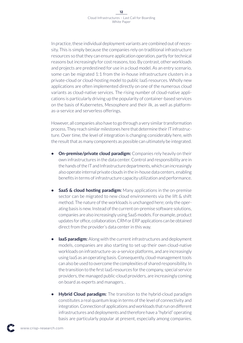In practice, these individual deployment variants are combined out of necessity. This is simply because the companies rely on traditional infrastructure resources so that they can ensure application operation, partly for technical reasons but increasingly for cost reasons, too. By contrast, other workloads and projects are predestined for use in a cloud model. As an entry scenario, some can be migrated 1:1 from the in-house infrastructure clusters in a private-cloud or cloud-hosting model to public IaaS resources. Wholly new applications are often implemented directly on one of the numerous cloud variants as cloud-native services. The rising number of cloud-native applications is particularly driving up the popularity of container-based services on the basis of Kubernetes, Mesosphere and their ilk, as well as platformas-a-service and serverless offerings.

However, all companies also have to go through a very similar transformation process. They reach similar milestones here that determine their IT infrastructure. Over time, the level of integration is changing considerably here, with the result that as many components as possible can ultimately be integrated.

- **• On-premise/private cloud paradigm:** Companies rely heavily on their own infrastructures in the data center. Control and responsibility are in the hands of the IT and Infrastructure departments, which can increasingly also operate internal private clouds in the in-house data centers, enabling benefits in terms of infrastructure capacity utilization and performance.
- **•** SaaS & cloud hosting paradigm: Many applications in the on-premise sector can be migrated to new cloud environments via the lift & shift method. The nature of the workloads is unchanged here; only the operating basis is new. Instead of the current on-premise software solutions, companies are also increasingly using SaaS models. For example, product updates for office, collaboration, CRM or ERP applications can be obtained direct from the provider's data center in this way.
- **• IaaS paradigm:** Along with the current infrastructures and deployment models, companies are also starting to set up their own cloud-native workloads on infrastructure-as-a-service platforms, and are increasingly using IaaS as an operating basis. Consequently, cloud-management tools can also be used to overcome the complexities of shared responsibility. In the transition to the first IaaS resources for the company, special service providers, the managed public-cloud providers, are increasingly coming on board as experts and managers. .
- **• Hybrid Cloud paradigm:** The transition to the hybrid-cloud paradigm constitutes a real quantum leap in terms of the level of connectivity and integration. Connection of applications and workloads that run on different infrastructures and deployments and therefore have a "hybrid" operating basis are particularly popular at present, especially among companies.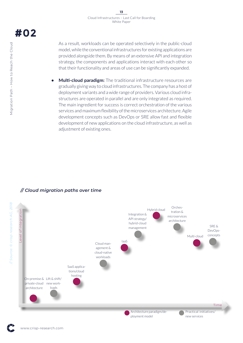As a result, workloads can be operated selectively in the public-cloud model, while the conventional infrastructures for existing applications are provided alongside them. By means of an extensive API and integration strategy, the components and applications interact with each other so that their functionality and areas of use can be significantly expanded.

**• Multi-cloud paradigm:** The traditional infrastructure resources are gradually giving way to cloud infrastructures. The company has a host of deployment variants and a wide range of providers. Various cloud infrastructures are operated in parallel and are only integrated as required. The main ingredient for success is correct orchestration of the various services and maximum flexibility of the microservices architecture. Agile development concepts such as DevOps or SRE allow fast and flexible development of new applications on the cloud infrastructure, as well as adjustment of existing ones.

### *// Cloud migration paths over time*

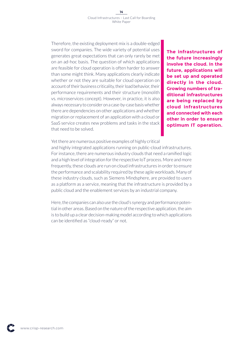Therefore, the existing deployment mix is a double-edged sword for companies. The wide variety of potential uses generates great expectations that can only rarely be met on an ad-hoc basis. The question of which applications are feasible for cloud operation is often harder to answer than some might think. Many applications clearly indicate whether or not they are suitable for cloud operation on account of their business criticality, their load behavior, their performance requirements and their structure (monolith vs. microservices concept). However, in practice, it is also always necessary to consider on a case-by-case basis whether there are dependencies on other applications and whether migration or replacement of an application with a cloud or SaaS service creates new problems and tasks in the stack that need to be solved.

**The infrastructures of the future increasingly involve the cloud. In the future, applications will be set up and operated directly in the cloud. Growing numbers of traditional infrastructures are being replaced by cloud infrastructures and connected with each other in order to ensure optimum IT operation.**

Yet there are numerous positive examples of highly critical

and highly integrated applications running on public-cloud infrastructures. For instance, there are numerous industry clouds that need a ramified logic and a high level of integration for the respective IoT process. More and more frequently, these clouds are run on cloud infrastructures in order to ensure the performance and scalability required by these agile workloads. Many of these industry clouds, such as Siemens Mindsphere, are provided to users as a platform as a service, meaning that the infrastructure is provided by a public cloud and the enablement services by an industrial company.

Here, the companies can also use the cloud's synergy and performance potential in other areas. Based on the nature of the respective application, the aim is to build up a clear decision-making model according to which applications can be identified as "cloud-ready" or not.

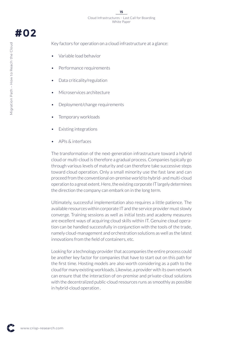Key factors for operation on a cloud infrastructure at a glance:

- Variable load behavior
- Performance requirements
- Data criticality/regulation
- Microservices architecture
- Deployment/change requirements
- Temporary workloads
- **Existing integrations**
- APIs & interfaces

The transformation of the next-generation infrastructure toward a hybrid cloud or multi-cloud is therefore a gradual process. Companies typically go through various levels of maturity and can therefore take successive steps toward cloud operation. Only a small minority use the fast lane and can proceed from the conventional on-premise world to hybrid- and multi-cloud operation to a great extent. Here, the existing corporate IT largely determines the direction the company can embark on in the long term.

Ultimately, successful implementation also requires a little patience. The available resources within corporate IT and the service provider must slowly converge. Training sessions as well as initial tests and academy measures are excellent ways of acquiring cloud skills within IT. Genuine cloud operation can be handled successfully in conjunction with the tools of the trade, namely cloud-management and orchestration solutions as well as the latest innovations from the field of containers, etc.

Looking for a technology provider that accompanies the entire process could be another key factor for companies that have to start out on this path for the first time. Hosting models are also worth considering as a path to the cloud for many existing workloads. Likewise, a provider with its own network can ensure that the interaction of on-premise and private-cloud solutions with the decentralized public-cloud resources runs as smoothly as possible in hybrid-cloud operation .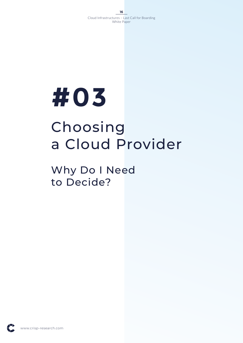# Choosing a Cloud Provider

### Why Do I Need to Decide?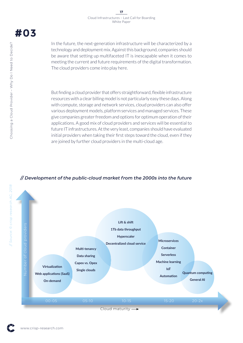In the future, the next-generation infrastructure will be characterized by a technology and deployment mix. Against this background, companies should be aware that setting up multifaceted IT is inescapable when it comes to meeting the current and future requirements of the digital transformation. The cloud providers come into play here.

But finding a cloud provider that offers straightforward, flexible infrastructure resources with a clear billing model is not particularly easy these days. Along with compute, storage and network services, cloud providers can also offer various deployment models, platform services and managed services. These give companies greater freedom and options for optimum operation of their applications. A good mix of cloud providers and services will be essential to future IT infrastructures. At the very least, companies should have evaluated initial providers when taking their first steps toward the cloud, even if they are joined by further cloud providers in the multi-cloud age.

### *// Development of the public-cloud market from the 2000s into the future*

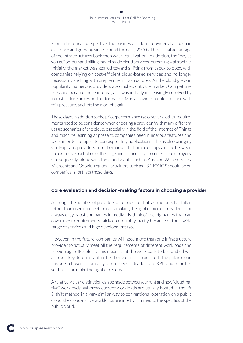From a historical perspective, the business of cloud providers has been in existence and growing since around the early 2000s. The crucial advantage of the infrastructures back then was virtualization. In addition, the "pay as you go" on-demand billing model made cloud services increasingly attractive. Initially, the market was geared toward shifting from capex to opex, with companies relying on cost-efficient cloud-based services and no longer necessarily sticking with on-premise infrastructures. As the cloud grew in popularity, numerous providers also rushed onto the market. Competitive pressure became more intense, and was initially increasingly resolved by infrastructure prices and performance. Many providers could not cope with this pressure, and left the market again.

These days, in addition to the price/performance ratio, several other requirements need to be considered when choosing a provider. With many different usage scenarios of the cloud, especially in the field of the Internet of Things and machine learning at present, companies need numerous features and tools in order to operate corresponding applications. This is also bringing start-ups and providers onto the market that aim to occupy a niche between the extensive portfolios of the large and particularly prominent cloud players. Consequently, along with the cloud giants such as Amazon Web Services, Microsoft and Google, regional providers such as 1&1 IONOS should be on companies' shortlists these days.

#### **Core evaluation and decision-making factors in choosing a provider**

Although the number of providers of public-cloud infrastructures has fallen rather than risen in recent months, making the right choice of provider is not always easy. Most companies immediately think of the big names that can cover most requirements fairly comfortably, partly because of their wide range of services and high development rate.

However, in the future, companies will need more than one infrastructure provider to actually meet all the requirements of different workloads and provide agile, flexible IT. This means that the workloads to be handled will also be a key determinant in the choice of infrastructure. If the public cloud has been chosen, a company often needs individualized KPIs and priorities so that it can make the right decisions.

A relatively clear distinction can be made between current and new "cloud-native" workloads. Whereas current workloads are usually hosted in the lift & shift method in a very similar way to conventional operation on a public cloud, the cloud-native workloads are mostly trimmed to the specifics of the public cloud.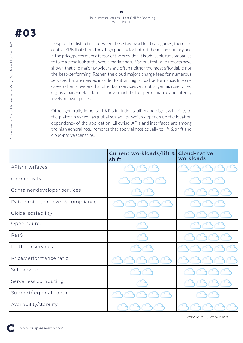Despite the distinction between these two workload categories, there are central KPIs that should be a high priority for both of them. The primary one is the price/performance factor of the provider. It is advisable for companies to take a close look at the whole market here. Various tests and reports have shown that the major providers are often neither the most affordable nor the best-performing. Rather, the cloud majors charge fees for numerous services that are needed in order to attain high cloud performance. In some cases, other providers that offer IaaS services without larger microservices, e.g. as a bare-metal cloud, achieve much better performance and latency levels at lower prices.

Other generally important KPIs include stability and high availability of the platform as well as global scalability, which depends on the location dependency of the application. Likewise, APIs and interfaces are among the high general requirements that apply almost equally to lift & shift and cloud-native scenarios.

|                                    | Current workloads/lift &<br>shift | Cloud-native<br>workloads |
|------------------------------------|-----------------------------------|---------------------------|
| APIs/interfaces                    |                                   |                           |
| Connectivity                       |                                   |                           |
| Container/developer services       |                                   |                           |
| Data-protection level & compliance |                                   |                           |
| Global scalability                 |                                   |                           |
| Open-source                        |                                   |                           |
| PaaS                               |                                   |                           |
| Platform services                  |                                   |                           |
| Price/performance ratio            |                                   |                           |
| Self service                       |                                   |                           |
| Serverless computing               |                                   |                           |
| Support/regional contact           |                                   |                           |
| Availability/stability             |                                   |                           |

1 very low | 5 very high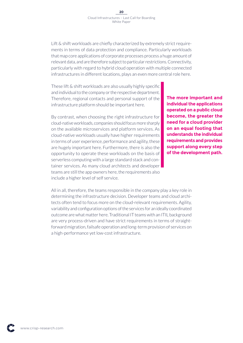Lift & shift workloads are chiefly characterized by extremely strict requirements in terms of data protection and compliance. Particularly workloads that map core applications of corporate processes process a huge amount of relevant data, and are therefore subject to particular restrictions. Connectivity, particularly with regard to hybrid cloud operation with multiple connected infrastructures in different locations, plays an even more central role here.

These lift & shift workloads are also usually highly specific and individual to the company or the respective department. Therefore, regional contacts and personal support of the infrastructure platform should be important here.

By contrast, when choosing the right infrastructure for cloud-native workloads, companies should focus more sharply on the available microservices and platform services. As cloud-native workloads usually have higher requirements in terms of user experience, performance and agility, these are hugely important here. Furthermore, there is also the opportunity to operate these workloads on the basis of serverless computing with a large standard stack and container services. As many cloud architects and developer teams are still the app owners here, the requirements also include a higher level of self service.

**The more important and individual the applications operated on a public cloud become, the greater the need for a cloud provider on an equal footing that understands the individual requirements and provides support along every step of the development path.**

All in all, therefore, the teams responsible in the company play a key role in determining the infrastructure decision. Developer teams and cloud architects often tend to focus more on the cloud-relevant requirements. Agility, variability and configuration options of the services for an ideally coordinated outcome are what matter here. Traditional IT teams with an ITIL background are very process-driven and have strict requirements in terms of straightforward migration, failsafe operation and long-term provision of services on a high-performance yet low-cost infrastructure.

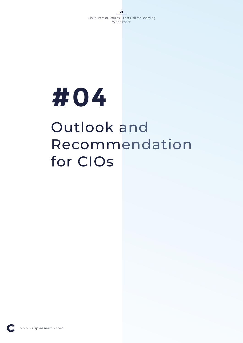

# Outlook and Recommendation for CIOs

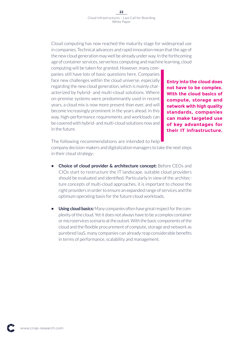Cloud computing has now reached the maturity stage for widespread use in companies. Technical advances and rapid innovation mean that the age of the new cloud generation may well be already under way. In the forthcoming age of container services, serverless computing and machine learning, cloud

computing will be taken for granted. However, many companies still have lots of basic questions here. Companies face new challenges within the cloud universe, especially regarding the new cloud generation, which is mainly characterized by hybrid- and multi-cloud solutions. Where on-premise systems were predominantly used in recent years, a cloud mix is now more present than ever, and will become increasingly prominent in the years ahead. In this way, high-performance requirements and workloads can be covered with hybrid- and multi-cloud solutions now and in the future.

**Entry into the cloud does not have to be complex. With the cloud basics of compute, storage and network with high quality standards, companies can make targeted use of key advantages for their IT infrastructure.**

The following recommendations are intended to help

company decision-makers and digitalization managers to take the next steps in their cloud strategy:

- **• Choice of cloud provider & architecture concept:** Before CEOs and CIOs start to restructure the IT landscape, suitable cloud providers should be evaluated and identified. Particularly in view of the architecture concepts of multi-cloud approaches, it is important to choose the right providers in order to ensure an expanded range of services and the optimum operating basis for the future cloud workloads.
- **• Using cloud basics:** Many companies often have great respect for the complexity of the cloud. Yet it does not always have to be a complex container or microservices scenario at the outset. With the basic components of the cloud and the flexible procurement of compute, storage and network as purebred IaaS, many companies can already reap considerable benefits in terms of performance, scalability and management.

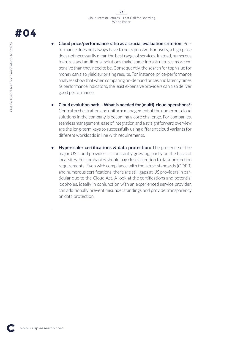- **• Cloud price/performance ratio as a crucial evaluation criterion:** Performance does not always have to be expensive. For users, a high price does not necessarily mean the best range of services. Instead, numerous features and additional solutions make some infrastructures more expensive than they need to be. Consequently, the search for top value for money can also yield surprising results. For instance, price/performance analyses show that when comparing on-demand prices and latency times as performance indicators, the least expensive providers can also deliver good performance.
- **• Cloud evolution path What is needed for (multi)-cloud operations?:**  Central orchestration and uniform management of the numerous cloud solutions in the company is becoming a core challenge. For companies, seamless management, ease of integration and a straightforward overview are the long-term keys to successfully using different cloud variants for different workloads in line with requirements.
- **• Hyperscaler certifications & data protection:** The presence of the major US cloud providers is constantly growing, partly on the basis of local sites. Yet companies should pay close attention to data-protection requirements. Even with compliance with the latest standards (GDPR) and numerous certifications, there are still gaps at US providers in particular due to the Cloud Act. A look at the certifications and potential loopholes, ideally in conjunction with an experienced service provider, can additionally prevent misunderstandings and provide transparency on data protection.

.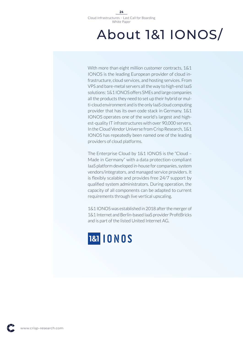## About 1&1 IONOS/

With more than eight million customer contracts, 1&1 IONOS is the leading European provider of cloud infrastructure, cloud services, and hosting services. From VPS and bare-metal servers all the way to high-end IaaS solutions: 1&1 IONOS offers SMEs and large companies all the products they need to set up their hybrid or multi-cloud environment and is the only IaaS cloud computing provider that has its own code stack in Germany. 1&1 IONOS operates one of the world's largest and highest-quality IT infrastructures with over 90,000 servers. In the Cloud Vendor Universe from Crisp Research, 1&1 IONOS has repeatedly been named one of the leading providers of cloud platforms.

The Enterprise Cloud by 1&1 IONOS is the "Cloud – Made in Germany" with a data protection-compliant IaaS platform developed in-house for companies, system vendors/integrators, and managed service providers. It is flexibly scalable and provides free 24/7 support by qualified system administrators. During operation, the capacity of all components can be adapted to current requirements through live vertical upscaling.

1&1 IONOS was established in 2018 after the merger of 1&1 Internet and Berlin-based IaaS provider ProfitBricks and is part of the listed United Internet AG.

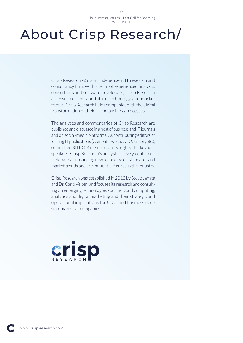## About Crisp Research/

Crisp Research AG is an independent IT research and consultancy firm. With a team of experienced analysts, consultants and software developers, Crisp Research assesses current and future technology and market trends. Crisp Research helps companies with the digital transformation of their IT and business processes.

The analyses and commentaries of Crisp Research are published and discussed in a host of business and IT journals and on social-media platforms. As contributing editors at leading IT publications (Computerwoche, CIO, Silicon, etc.), committed BITKOM members and sought-after keynote speakers, Crisp Research's analysts actively contribute to debates surrounding new technologies, standards and market trends and are influential figures in the industry.

Crisp Research was established in 2013 by Steve Janata and Dr. Carlo Velten, and focuses its research and consulting on emerging technologies such as cloud computing, analytics and digital marketing and their strategic and operational implications for CIOs and business decision-makers at companies.



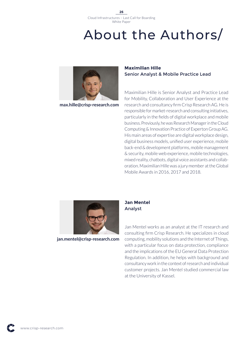## About the Authors/



**max.hille@crisp-research.com**

### **Maximilian Hille** Senior Analyst & Mobile Practice Lead

Maximilian Hille is Senior Analyst and Practice Lead for Mobility, Collaboration and User Experience at the research and consultancy firm Crisp Research AG. He is responsible for market-research and consulting initiatives, particularly in the fields of digital workplace and mobile business. Previously, he was Research Manager in the Cloud Computing & Innovation Practice of Experton Group AG. His main areas of expertise are digital workplace design, digital business models, unified user experience, mobile back-end & development platforms, mobile management & security, mobile web experience, mobile technologies, mixed reality, chatbots, digital voice assistants and collaboration. Maximilian Hille was a jury member at the Global Mobile Awards in 2016, 2017 and 2018.



**jan.mentel@crisp-research.com**

### **Jan Mentel** Analyst

Jan Mentel works as an analyst at the IT research and consulting firm Crisp Research. He specializes in cloud computing, mobility solutions and the Internet of Things, with a particular focus on data protection, compliance and the implications of the EU General Data Protection Regulation. In addition, he helps with background and consultancy work in the context of research and individual customer projects. Jan Mentel studied commercial law at the University of Kassel.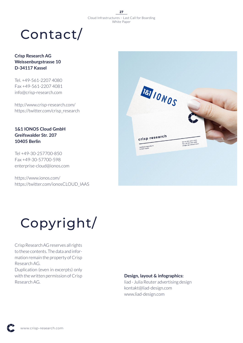## Contact/

### **Crisp Research AG Weissenburgstrasse 10 D-34117 Kassel**

Tel. +49-561-2207 4080 Fax +49-561-2207 4081 info@crisp-research.com

http://www.crisp-research.com/ https://twitter.com/crisp\_research

### **1&1 IONOS Cloud GmbH Greifswalder Str. 207 10405 Berlin**

Tel +49-30-257700-850 Fax +49-30-57700-598 enterprise-cloud@ionos.com

https://www.ionos.com/ https://twitter.com/ionosCLOUD\_IAAS



# Copyright/

Crisp Research AG reserves all rights to these contents. The data and information remain the property of Crisp Research AG.

Duplication (even in excerpts) only with the written permission of Crisp Research AG.

#### **Design, layout & infographics:**

liad - Julia Reuter advertising design kontakt@liad-design.com www.liad-design.com